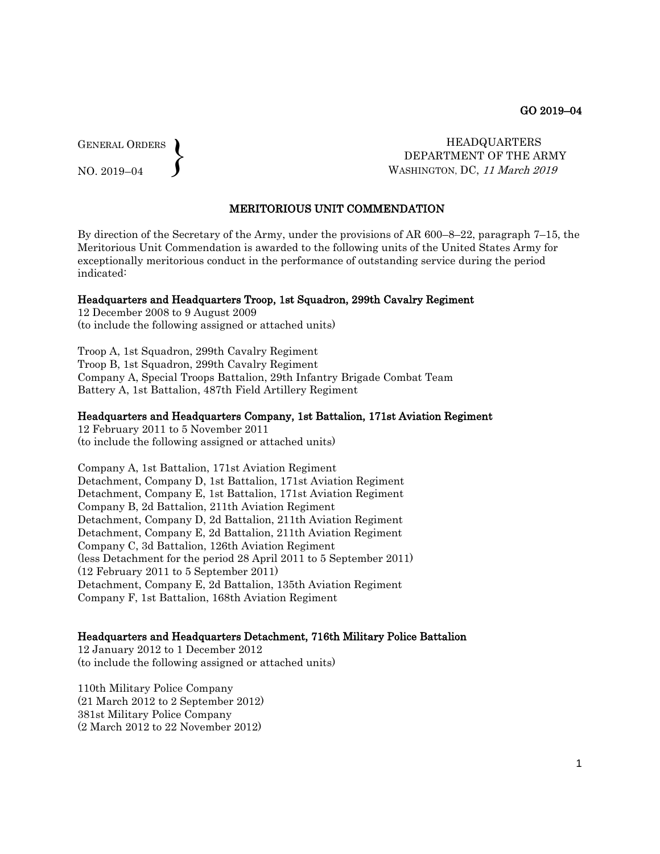GENERAL ORDERS  $\left\{ \right\}$ 

NO. 2019–04

 HEADQUARTERS DEPARTMENT OF THE ARMY WASHINGTON, DC, <sup>11</sup> March 2019

## MERITORIOUS UNIT COMMENDATION

By direction of the Secretary of the Army, under the provisions of AR 600–8–22, paragraph 7–15, the Meritorious Unit Commendation is awarded to the following units of the United States Army for exceptionally meritorious conduct in the performance of outstanding service during the period indicated:

# Headquarters and Headquarters Troop, 1st Squadron, 299th Cavalry Regiment

12 December 2008 to 9 August 2009 (to include the following assigned or attached units)

Troop A, 1st Squadron, 299th Cavalry Regiment Troop B, 1st Squadron, 299th Cavalry Regiment Company A, Special Troops Battalion, 29th Infantry Brigade Combat Team Battery A, 1st Battalion, 487th Field Artillery Regiment

### Headquarters and Headquarters Company, 1st Battalion, 171st Aviation Regiment

12 February 2011 to 5 November 2011 (to include the following assigned or attached units)

Company A, 1st Battalion, 171st Aviation Regiment Detachment, Company D, 1st Battalion, 171st Aviation Regiment Detachment, Company E, 1st Battalion, 171st Aviation Regiment Company B, 2d Battalion, 211th Aviation Regiment Detachment, Company D, 2d Battalion, 211th Aviation Regiment Detachment, Company E, 2d Battalion, 211th Aviation Regiment Company C, 3d Battalion, 126th Aviation Regiment (less Detachment for the period 28 April 2011 to 5 September 2011) (12 February 2011 to 5 September 2011) Detachment, Company E, 2d Battalion, 135th Aviation Regiment Company F, 1st Battalion, 168th Aviation Regiment

#### Headquarters and Headquarters Detachment, 716th Military Police Battalion

12 January 2012 to 1 December 2012 (to include the following assigned or attached units)

110th Military Police Company (21 March 2012 to 2 September 2012) 381st Military Police Company (2 March 2012 to 22 November 2012)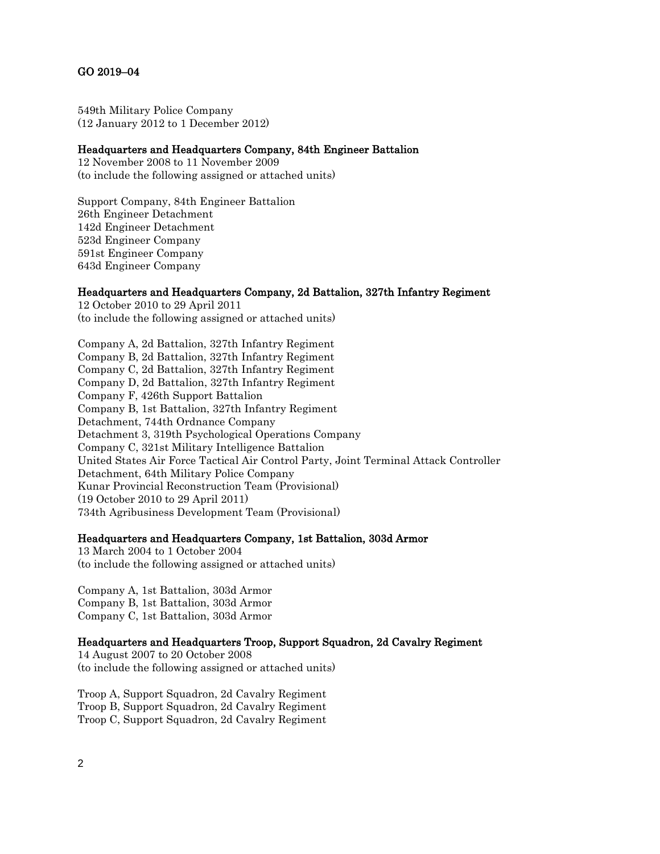# GO 2019–04

549th Military Police Company (12 January 2012 to 1 December 2012)

## Headquarters and Headquarters Company, 84th Engineer Battalion

12 November 2008 to 11 November 2009 (to include the following assigned or attached units)

Support Company, 84th Engineer Battalion 26th Engineer Detachment 142d Engineer Detachment 523d Engineer Company 591st Engineer Company 643d Engineer Company

# Headquarters and Headquarters Company, 2d Battalion, 327th Infantry Regiment

12 October 2010 to 29 April 2011 (to include the following assigned or attached units)

Company A, 2d Battalion, 327th Infantry Regiment Company B, 2d Battalion, 327th Infantry Regiment Company C, 2d Battalion, 327th Infantry Regiment Company D, 2d Battalion, 327th Infantry Regiment Company F, 426th Support Battalion Company B, 1st Battalion, 327th Infantry Regiment Detachment, 744th Ordnance Company Detachment 3, 319th Psychological Operations Company Company C, 321st Military Intelligence Battalion United States Air Force Tactical Air Control Party, Joint Terminal Attack Controller Detachment, 64th Military Police Company Kunar Provincial Reconstruction Team (Provisional) (19 October 2010 to 29 April 2011) 734th Agribusiness Development Team (Provisional)

### Headquarters and Headquarters Company, 1st Battalion, 303d Armor

13 March 2004 to 1 October 2004 (to include the following assigned or attached units)

Company A, 1st Battalion, 303d Armor Company B, 1st Battalion, 303d Armor Company C, 1st Battalion, 303d Armor

# Headquarters and Headquarters Troop, Support Squadron, 2d Cavalry Regiment

14 August 2007 to 20 October 2008 (to include the following assigned or attached units)

Troop A, Support Squadron, 2d Cavalry Regiment Troop B, Support Squadron, 2d Cavalry Regiment Troop C, Support Squadron, 2d Cavalry Regiment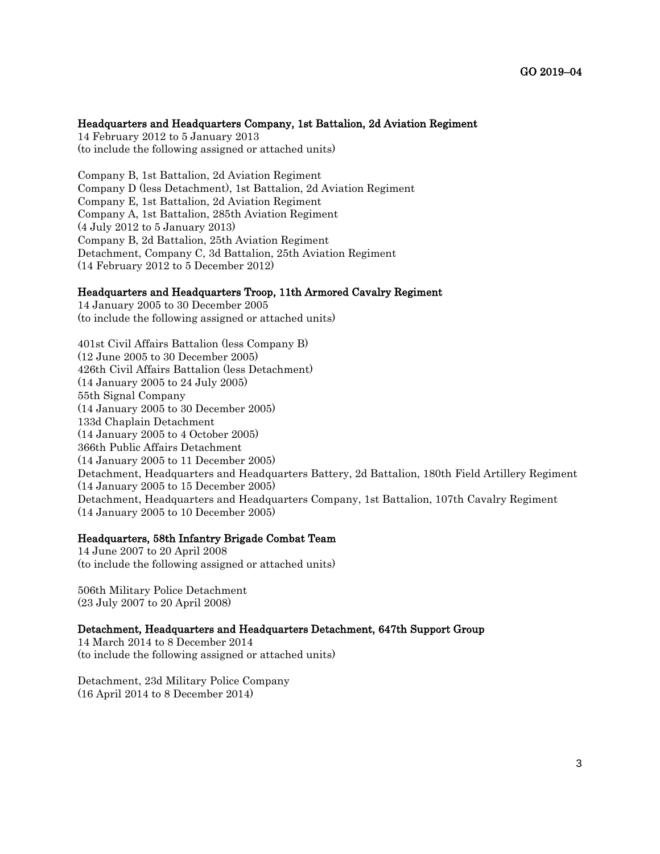### Headquarters and Headquarters Company, 1st Battalion, 2d Aviation Regiment

14 February 2012 to 5 January 2013 (to include the following assigned or attached units)

Company B, 1st Battalion, 2d Aviation Regiment Company D (less Detachment), 1st Battalion, 2d Aviation Regiment Company E, 1st Battalion, 2d Aviation Regiment Company A, 1st Battalion, 285th Aviation Regiment (4 July 2012 to 5 January 2013) Company B, 2d Battalion, 25th Aviation Regiment Detachment, Company C, 3d Battalion, 25th Aviation Regiment (14 February 2012 to 5 December 2012)

### Headquarters and Headquarters Troop, 11th Armored Cavalry Regiment

14 January 2005 to 30 December 2005 (to include the following assigned or attached units)

401st Civil Affairs Battalion (less Company B) (12 June 2005 to 30 December 2005) 426th Civil Affairs Battalion (less Detachment) (14 January 2005 to 24 July 2005) 55th Signal Company (14 January 2005 to 30 December 2005) 133d Chaplain Detachment (14 January 2005 to 4 October 2005) 366th Public Affairs Detachment (14 January 2005 to 11 December 2005) Detachment, Headquarters and Headquarters Battery, 2d Battalion, 180th Field Artillery Regiment (14 January 2005 to 15 December 2005) Detachment, Headquarters and Headquarters Company, 1st Battalion, 107th Cavalry Regiment (14 January 2005 to 10 December 2005)

#### Headquarters, 58th Infantry Brigade Combat Team

14 June 2007 to 20 April 2008 (to include the following assigned or attached units)

506th Military Police Detachment (23 July 2007 to 20 April 2008)

### Detachment, Headquarters and Headquarters Detachment, 647th Support Group

14 March 2014 to 8 December 2014 (to include the following assigned or attached units)

Detachment, 23d Military Police Company (16 April 2014 to 8 December 2014)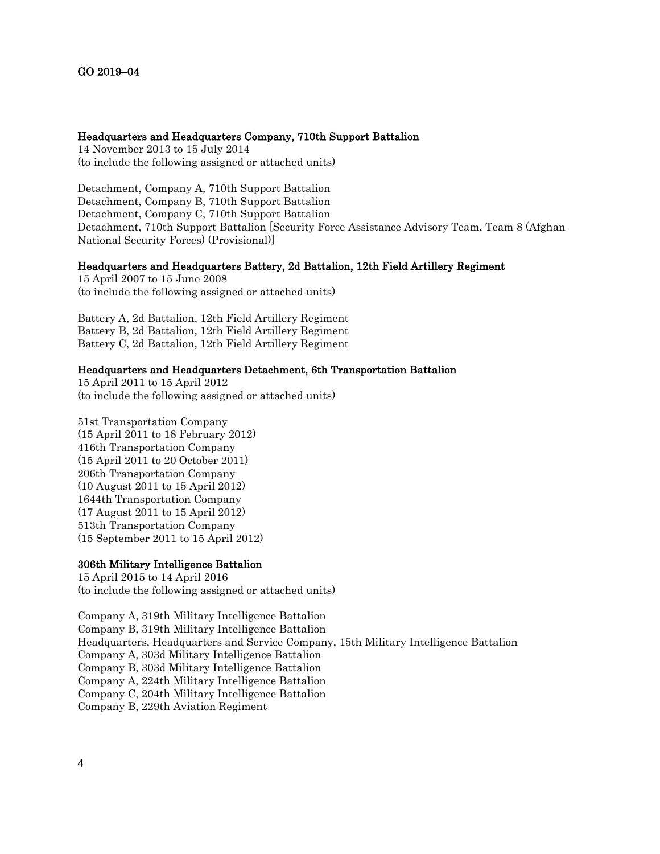#### Headquarters and Headquarters Company, 710th Support Battalion

14 November 2013 to 15 July 2014 (to include the following assigned or attached units)

Detachment, Company A, 710th Support Battalion Detachment, Company B, 710th Support Battalion Detachment, Company C, 710th Support Battalion Detachment, 710th Support Battalion [Security Force Assistance Advisory Team, Team 8 (Afghan National Security Forces) (Provisional)]

## Headquarters and Headquarters Battery, 2d Battalion, 12th Field Artillery Regiment

15 April 2007 to 15 June 2008 (to include the following assigned or attached units)

Battery A, 2d Battalion, 12th Field Artillery Regiment Battery B, 2d Battalion, 12th Field Artillery Regiment Battery C, 2d Battalion, 12th Field Artillery Regiment

#### Headquarters and Headquarters Detachment, 6th Transportation Battalion

15 April 2011 to 15 April 2012 (to include the following assigned or attached units)

51st Transportation Company (15 April 2011 to 18 February 2012) 416th Transportation Company (15 April 2011 to 20 October 2011) 206th Transportation Company (10 August 2011 to 15 April 2012) 1644th Transportation Company (17 August 2011 to 15 April 2012) 513th Transportation Company (15 September 2011 to 15 April 2012)

### 306th Military Intelligence Battalion

15 April 2015 to 14 April 2016 (to include the following assigned or attached units)

Company A, 319th Military Intelligence Battalion Company B, 319th Military Intelligence Battalion Headquarters, Headquarters and Service Company, 15th Military Intelligence Battalion Company A, 303d Military Intelligence Battalion Company B, 303d Military Intelligence Battalion Company A, 224th Military Intelligence Battalion Company C, 204th Military Intelligence Battalion Company B, 229th Aviation Regiment